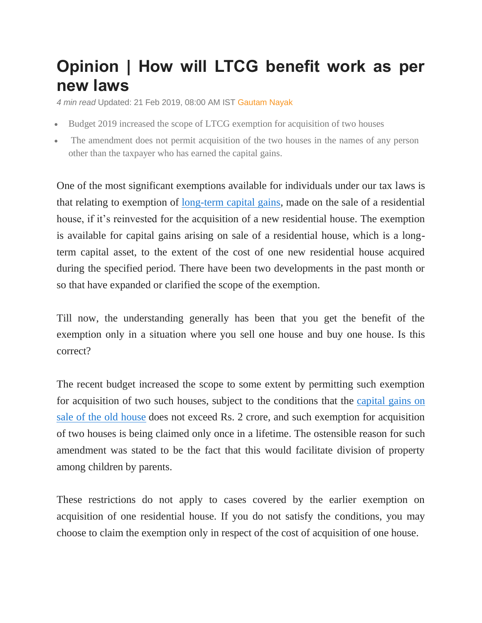## **Opinion | How will LTCG benefit work as per new laws**

*4 min read* Updated: 21 Feb 2019, 08:00 AM IST [Gautam Nayak](https://www.livemint.com/Search/Link/Author/Gautam%20Nayak)

- Budget 2019 increased the scope of LTCG exemption for acquisition of two houses
- The amendment does not permit acquisition of the two houses in the names of any person other than the taxpayer who has earned the capital gains.

One of the most significant exemptions available for individuals under our tax laws is that relating to exemption of [long-term capital gains,](https://www.livemint.com/budget/news/now-you-can-invest-in-two-houses-to-save-ltcg-tax-1549041708604.html) made on the sale of a residential house, if it's reinvested for the acquisition of a new residential house. The exemption is available for capital gains arising on sale of a residential house, which is a longterm capital asset, to the extent of the cost of one new residential house acquired during the specified period. There have been two developments in the past month or so that have expanded or clarified the scope of the exemption.

Till now, the understanding generally has been that you get the benefit of the exemption only in a situation where you sell one house and buy one house. Is this correct?

The recent budget increased the scope to some extent by permitting such exemption for acquisition of two such houses, subject to the conditions that the [capital gains on](https://www.livemint.com/Money/fw2w66Aa6pOIqkr3ohQ1SO/Should-you-use-home-sale-value-to-get-tax-break.html)  [sale of the old house](https://www.livemint.com/Money/fw2w66Aa6pOIqkr3ohQ1SO/Should-you-use-home-sale-value-to-get-tax-break.html) does not exceed Rs. 2 crore, and such exemption for acquisition of two houses is being claimed only once in a lifetime. The ostensible reason for such amendment was stated to be the fact that this would facilitate division of property among children by parents.

These restrictions do not apply to cases covered by the earlier exemption on acquisition of one residential house. If you do not satisfy the conditions, you may choose to claim the exemption only in respect of the cost of acquisition of one house.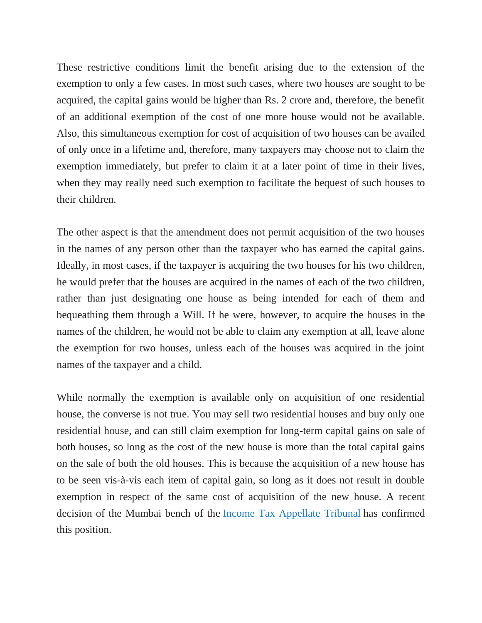These restrictive conditions limit the benefit arising due to the extension of the exemption to only a few cases. In most such cases, where two houses are sought to be acquired, the capital gains would be higher than Rs. 2 crore and, therefore, the benefit of an additional exemption of the cost of one more house would not be available. Also, this simultaneous exemption for cost of acquisition of two houses can be availed of only once in a lifetime and, therefore, many taxpayers may choose not to claim the exemption immediately, but prefer to claim it at a later point of time in their lives, when they may really need such exemption to facilitate the bequest of such houses to their children.

The other aspect is that the amendment does not permit acquisition of the two houses in the names of any person other than the taxpayer who has earned the capital gains. Ideally, in most cases, if the taxpayer is acquiring the two houses for his two children, he would prefer that the houses are acquired in the names of each of the two children, rather than just designating one house as being intended for each of them and bequeathing them through a Will. If he were, however, to acquire the houses in the names of the children, he would not be able to claim any exemption at all, leave alone the exemption for two houses, unless each of the houses was acquired in the joint names of the taxpayer and a child.

While normally the exemption is available only on acquisition of one residential house, the converse is not true. You may sell two residential houses and buy only one residential house, and can still claim exemption for long-term capital gains on sale of both houses, so long as the cost of the new house is more than the total capital gains on the sale of both the old houses. This is because the acquisition of a new house has to be seen vis-à-vis each item of capital gain, so long as it does not result in double exemption in respect of the same cost of acquisition of the new house. A recent decision of the Mumbai bench of the [Income Tax Appellate Tribunal](https://www.livemint.com/Opinion/zxXvWsP1BzXdudc7xyApzM/Revamping-the-Income-Tax-Appellate-Tribunal.html) has confirmed this position.